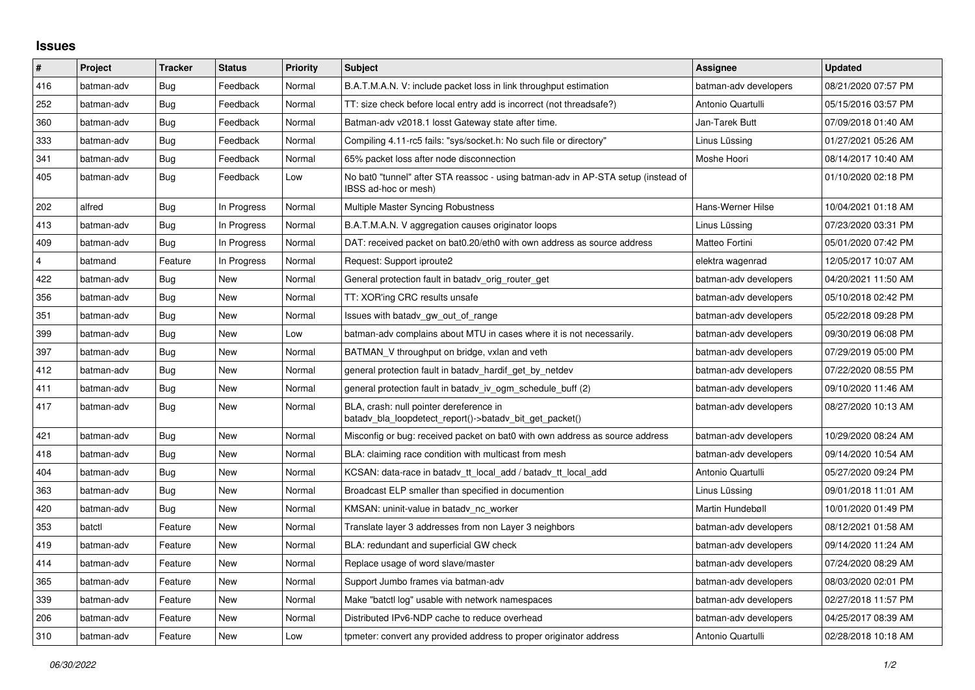## **Issues**

| $\vert$ # | Project    | <b>Tracker</b> | <b>Status</b> | Priority | <b>Subject</b>                                                                                            | Assignee              | <b>Updated</b>      |
|-----------|------------|----------------|---------------|----------|-----------------------------------------------------------------------------------------------------------|-----------------------|---------------------|
| 416       | batman-adv | Bug            | Feedback      | Normal   | B.A.T.M.A.N. V: include packet loss in link throughput estimation                                         | batman-adv developers | 08/21/2020 07:57 PM |
| 252       | batman-adv | Bug            | Feedback      | Normal   | TT: size check before local entry add is incorrect (not threadsafe?)                                      | Antonio Quartulli     | 05/15/2016 03:57 PM |
| 360       | batman-adv | Bug            | Feedback      | Normal   | Batman-adv v2018.1 losst Gateway state after time.                                                        | Jan-Tarek Butt        | 07/09/2018 01:40 AM |
| 333       | batman-adv | Bug            | Feedback      | Normal   | Compiling 4.11-rc5 fails: "sys/socket.h: No such file or directory"                                       | Linus Lüssing         | 01/27/2021 05:26 AM |
| 341       | batman-adv | Bug            | Feedback      | Normal   | 65% packet loss after node disconnection                                                                  | Moshe Hoori           | 08/14/2017 10:40 AM |
| 405       | batman-adv | Bug            | Feedback      | Low      | No bat0 "tunnel" after STA reassoc - using batman-adv in AP-STA setup (instead of<br>IBSS ad-hoc or mesh) |                       | 01/10/2020 02:18 PM |
| 202       | alfred     | Bug            | In Progress   | Normal   | Multiple Master Syncing Robustness                                                                        | Hans-Werner Hilse     | 10/04/2021 01:18 AM |
| 413       | batman-adv | Bug            | In Progress   | Normal   | B.A.T.M.A.N. V aggregation causes originator loops                                                        | Linus Lüssing         | 07/23/2020 03:31 PM |
| 409       | batman-adv | Bug            | In Progress   | Normal   | DAT: received packet on bat0.20/eth0 with own address as source address                                   | Matteo Fortini        | 05/01/2020 07:42 PM |
| 4         | batmand    | Feature        | In Progress   | Normal   | Request: Support iproute2                                                                                 | elektra wagenrad      | 12/05/2017 10:07 AM |
| 422       | batman-adv | Bug            | New           | Normal   | General protection fault in batady orig router get                                                        | batman-adv developers | 04/20/2021 11:50 AM |
| 356       | batman-adv | Bug            | New           | Normal   | TT: XOR'ing CRC results unsafe                                                                            | batman-adv developers | 05/10/2018 02:42 PM |
| 351       | batman-adv | Bug            | New           | Normal   | Issues with batady gw out of range                                                                        | batman-adv developers | 05/22/2018 09:28 PM |
| 399       | batman-adv | Bug            | New           | Low      | batman-adv complains about MTU in cases where it is not necessarily.                                      | batman-adv developers | 09/30/2019 06:08 PM |
| 397       | batman-adv | Bug            | <b>New</b>    | Normal   | BATMAN_V throughput on bridge, vxlan and veth                                                             | batman-adv developers | 07/29/2019 05:00 PM |
| 412       | batman-adv | Bug            | New           | Normal   | general protection fault in batady hardif get by netdev                                                   | batman-adv developers | 07/22/2020 08:55 PM |
| 411       | batman-adv | Bug            | New           | Normal   | general protection fault in batady iv ogm schedule buff (2)                                               | batman-adv developers | 09/10/2020 11:46 AM |
| 417       | batman-adv | Bug            | <b>New</b>    | Normal   | BLA, crash: null pointer dereference in<br>batady bla loopdetect report()->batady bit get packet()        | batman-adv developers | 08/27/2020 10:13 AM |
| 421       | batman-adv | Bug            | <b>New</b>    | Normal   | Misconfig or bug: received packet on bat0 with own address as source address                              | batman-adv developers | 10/29/2020 08:24 AM |
| 418       | batman-adv | Bug            | New           | Normal   | BLA: claiming race condition with multicast from mesh                                                     | batman-adv developers | 09/14/2020 10:54 AM |
| 404       | batman-adv | Bug            | <b>New</b>    | Normal   | KCSAN: data-race in batady tt local add / batady tt local add                                             | Antonio Quartulli     | 05/27/2020 09:24 PM |
| 363       | batman-adv | <b>Bug</b>     | New           | Normal   | Broadcast ELP smaller than specified in documention                                                       | Linus Lüssing         | 09/01/2018 11:01 AM |
| 420       | batman-adv | Bug            | New           | Normal   | KMSAN: uninit-value in batady nc worker                                                                   | Martin Hundebøll      | 10/01/2020 01:49 PM |
| 353       | batctl     | Feature        | New           | Normal   | Translate layer 3 addresses from non Layer 3 neighbors                                                    | batman-adv developers | 08/12/2021 01:58 AM |
| 419       | batman-adv | Feature        | New           | Normal   | BLA: redundant and superficial GW check                                                                   | batman-adv developers | 09/14/2020 11:24 AM |
| 414       | batman-adv | Feature        | New           | Normal   | Replace usage of word slave/master                                                                        | batman-adv developers | 07/24/2020 08:29 AM |
| 365       | batman-adv | Feature        | New           | Normal   | Support Jumbo frames via batman-adv                                                                       | batman-adv developers | 08/03/2020 02:01 PM |
| 339       | batman-adv | Feature        | <b>New</b>    | Normal   | Make "batctl log" usable with network namespaces                                                          | batman-adv developers | 02/27/2018 11:57 PM |
| 206       | batman-adv | Feature        | New           | Normal   | Distributed IPv6-NDP cache to reduce overhead                                                             | batman-adv developers | 04/25/2017 08:39 AM |
| 310       | batman-adv | Feature        | New           | Low      | tpmeter: convert any provided address to proper originator address                                        | Antonio Quartulli     | 02/28/2018 10:18 AM |